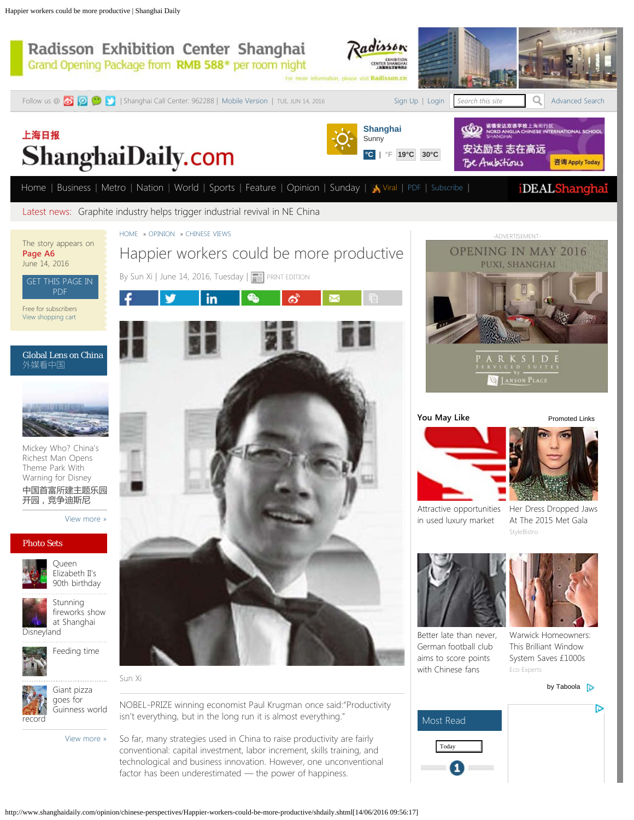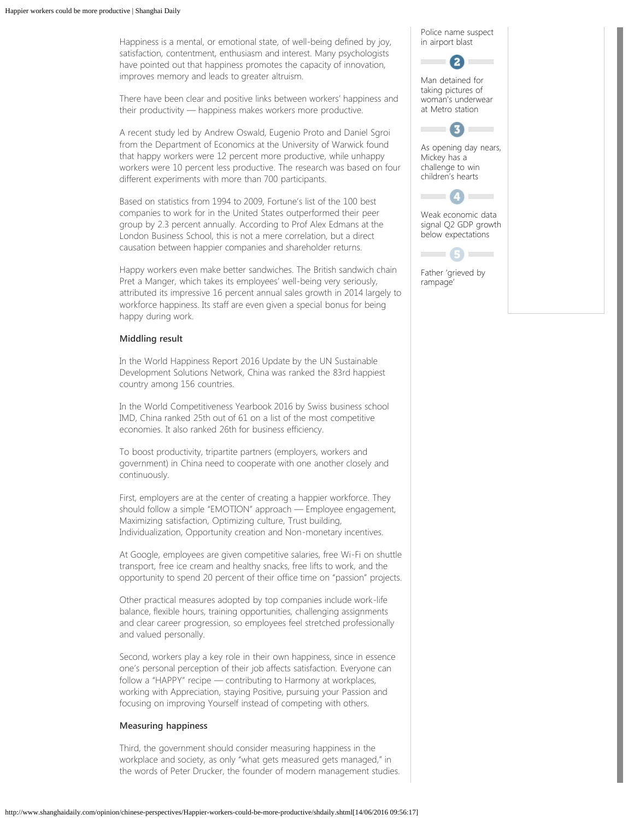Happiness is a mental, or emotional state, of well-being defined by joy, satisfaction, contentment, enthusiasm and interest. Many psychologists have pointed out that happiness promotes the capacity of innovation, improves memory and leads to greater altruism.

There have been clear and positive links between workers' happiness and their productivity — happiness makes workers more productive.

A recent study led by Andrew Oswald, Eugenio Proto and Daniel Sgroi from the Department of Economics at the University of Warwick found that happy workers were 12 percent more productive, while unhappy workers were 10 percent less productive. The research was based on four different experiments with more than 700 participants.

Based on statistics from 1994 to 2009, Fortune's list of the 100 best companies to work for in the United States outperformed their peer group by 2.3 percent annually. According to Prof Alex Edmans at the London Business School, this is not a mere correlation, but a direct causation between happier companies and shareholder returns.

Happy workers even make better sandwiches. The British sandwich chain Pret a Manger, which takes its employees' well-being very seriously, attributed its impressive 16 percent annual sales growth in 2014 largely to workforce happiness. Its staff are even given a special bonus for being happy during work.

## **Middling result**

In the World Happiness Report 2016 Update by the UN Sustainable Development Solutions Network, China was ranked the 83rd happiest country among 156 countries.

In the World Competitiveness Yearbook 2016 by Swiss business school IMD, China ranked 25th out of 61 on a list of the most competitive economies. It also ranked 26th for business efficiency.

To boost productivity, tripartite partners (employers, workers and government) in China need to cooperate with one another closely and continuously.

First, employers are at the center of creating a happier workforce. They should follow a simple "EMOTION" approach — Employee engagement, Maximizing satisfaction, Optimizing culture, Trust building, Individualization, Opportunity creation and Non-monetary incentives.

At Google, employees are given competitive salaries, free Wi-Fi on shuttle transport, free ice cream and healthy snacks, free lifts to work, and the opportunity to spend 20 percent of their office time on "passion" projects.

Other practical measures adopted by top companies include work-life balance, flexible hours, training opportunities, challenging assignments and clear career progression, so employees feel stretched professionally and valued personally.

Second, workers play a key role in their own happiness, since in essence one's personal perception of their job affects satisfaction. Everyone can follow a "HAPPY" recipe — contributing to Harmony at workplaces, working with Appreciation, staying Positive, pursuing your Passion and focusing on improving Yourself instead of competing with others.

## **Measuring happiness**

Third, the government should consider measuring happiness in the workplace and society, as only "what gets measured gets managed," in the words of Peter Drucker, the founder of modern management studies.

[Police name suspect](http://www.shanghaidaily.com/metro/society/Police-name-suspect-in-airport-blast/shdaily.shtml) [in airport blast](http://www.shanghaidaily.com/metro/society/Police-name-suspect-in-airport-blast/shdaily.shtml)



[Man detained for](http://www.shanghaidaily.com/metro/society/Man-detained-for-taking-pictures-of-womans-underwear-at-Metro-station/shdaily.shtml) [taking pictures of](http://www.shanghaidaily.com/metro/society/Man-detained-for-taking-pictures-of-womans-underwear-at-Metro-station/shdaily.shtml) [woman's underwear](http://www.shanghaidaily.com/metro/society/Man-detained-for-taking-pictures-of-womans-underwear-at-Metro-station/shdaily.shtml) [at Metro station](http://www.shanghaidaily.com/metro/society/Man-detained-for-taking-pictures-of-womans-underwear-at-Metro-station/shdaily.shtml)



[As opening day nears,](http://www.shanghaidaily.com/nation/As-opening-day-nears-Mickey-has-a-challenge-to-win-childrens-hearts/shdaily.shtml) [Mickey has a](http://www.shanghaidaily.com/nation/As-opening-day-nears-Mickey-has-a-challenge-to-win-childrens-hearts/shdaily.shtml) [challenge to win](http://www.shanghaidaily.com/nation/As-opening-day-nears-Mickey-has-a-challenge-to-win-childrens-hearts/shdaily.shtml) [children's hearts](http://www.shanghaidaily.com/nation/As-opening-day-nears-Mickey-has-a-challenge-to-win-childrens-hearts/shdaily.shtml)



[Weak economic data](http://www.shanghaidaily.com/business/economy/Weak-economic-data-signal-Q2-GDP-growth-below-expectations/shdaily.shtml) [signal Q2 GDP growth](http://www.shanghaidaily.com/business/economy/Weak-economic-data-signal-Q2-GDP-growth-below-expectations/shdaily.shtml) [below expectations](http://www.shanghaidaily.com/business/economy/Weak-economic-data-signal-Q2-GDP-growth-below-expectations/shdaily.shtml)



[Father 'grieved by](http://www.shanghaidaily.com/world/Father-grieved-by-rampage/shdaily.shtml) [rampage'](http://www.shanghaidaily.com/world/Father-grieved-by-rampage/shdaily.shtml)